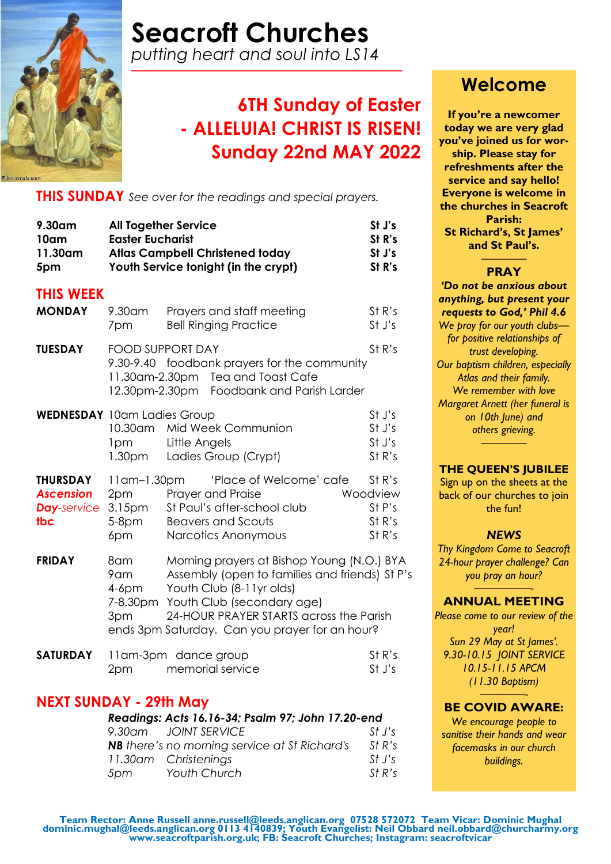

# **Seacroft Churches**

*putting heart and soul into LS14 —–———————————————*

### **6TH Sunday of Easter - ALLELUIA! CHRIST IS RISEN! Sunday 22nd MAY 2022**

**THIS SUNDAY** *See over for the readings and special prayers.*

| 9.30am<br>10am<br>11.30am<br>5pm                                                                              | <b>All Together Service</b><br><b>Easter Eucharist</b>            | <b>Atlas Campbell Christened today</b><br>Youth Service tonight (in the crypt)                                                                                                                                                                      | St J's<br>St R's<br>St J's<br>St R's             |
|---------------------------------------------------------------------------------------------------------------|-------------------------------------------------------------------|-----------------------------------------------------------------------------------------------------------------------------------------------------------------------------------------------------------------------------------------------------|--------------------------------------------------|
| <b>THIS WEEK</b>                                                                                              |                                                                   |                                                                                                                                                                                                                                                     |                                                  |
| <b>MONDAY</b>                                                                                                 | 9.30am<br>7pm                                                     | Prayers and staff meeting<br><b>Bell Ringing Practice</b>                                                                                                                                                                                           | St R's<br>St J's                                 |
| <b>TUESDAY</b>                                                                                                | <b>FOOD SUPPORT DAY</b>                                           | 9.30-9.40 foodbank prayers for the community<br>11.30am-2.30pm Tea and Toast Cafe<br>12.30pm-2.30pm Foodbank and Parish Larder                                                                                                                      | St R's                                           |
| <b>WEDNESDAY</b> 10am Ladies Group                                                                            | 10.30am<br>1pm<br>1.30 <sub>pm</sub>                              | Mid Week Communion<br>Little Angels<br>Ladies Group (Crypt)                                                                                                                                                                                         | St J's<br>St J's<br>St J's<br>St R's             |
| <b>THURSDAY</b><br><b>Ascension</b><br><b>Day-service</b><br>tbc                                              | $11$ am $-1.30$ pm<br>2pm<br>3.15 <sub>pm</sub><br>$5-8pm$<br>6pm | 'Place of Welcome' cafe<br>Prayer and Praise<br>St Paul's after-school club<br><b>Beavers and Scouts</b><br>Narcotics Anonymous                                                                                                                     | St R's<br>Woodview<br>St P's<br>St R's<br>St R's |
| <b>FRIDAY</b>                                                                                                 | 8am<br>9am<br>$4-6$ pm<br>7-8.30pm<br>3pm                         | Morning prayers at Bishop Young (N.O.) BYA<br>Assembly (open to families and friends) St P's<br>Youth Club (8-11yr olds)<br>Youth Club (secondary age)<br>24-HOUR PRAYER STARTS across the Parish<br>ends 3pm Saturday. Can you prayer for an hour? |                                                  |
| <b>SATURDAY</b>                                                                                               | 2pm                                                               | 11am-3pm dance group<br>memorial service                                                                                                                                                                                                            | St R's<br>St J's                                 |
| NEXT SUNDAY - 29th May<br>Readings: Acts 16.16-34; Psalm 97; John 17.20-end<br>9.30am JOINT SERVICE<br>St J's |                                                                   |                                                                                                                                                                                                                                                     |                                                  |

### **Welcome**

**If you're a newcomer today we are very glad you've joined us for worship. Please stay for refreshments after the service and say hello! Everyone is welcome in the churches in Seacroft Parish: St Richard's, St James' and St Paul's.** ————

### **PRAY**

*'Do not be anxious about anything, but present your requests to God,' Phil 4.6 We pray for our youth clubs for positive relationships of trust developing. Our baptism children, especially Atlas and their family. We remember with love Margaret Arnett (her funeral is on 10th June) and others grieving. ————*

### **THE QUEEN'S JUBILEE**

Sign up on the sheets at the back of our churches to join the fun!

### *NEWS*

*Thy Kingdom Come to Seacroft 24-hour prayer challenge? Can you pray an hour?*

#### *—————-* **ANNUAL MEETING**

*Please come to our review of the year! Sun 29 May at St James'. 9.30-10.15 JOINT SERVICE 10.15-11.15 APCM (11.30 Baptism)* 

### *————-* **BE COVID AWARE:**

*We encourage people to sanitise their hands and wear facemasks in our church buildings.* 

**NB** *there's no morning service at St Richard's* St R's *11.30am Christenings St J's 5pm Youth Church St R's*